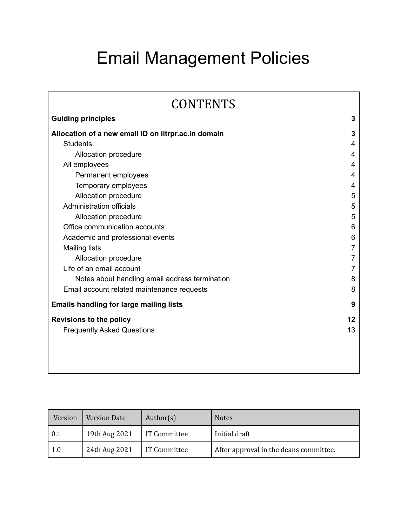# Email Management Policies

| <b>CONTENTS</b>                                     |    |
|-----------------------------------------------------|----|
| <b>Guiding principles</b>                           | 3  |
| Allocation of a new email ID on iitrpr.ac.in domain | 3  |
| <b>Students</b>                                     | 4  |
| Allocation procedure                                | 4  |
| All employees                                       | 4  |
| Permanent employees                                 | 4  |
| Temporary employees                                 | 4  |
| Allocation procedure                                | 5  |
| <b>Administration officials</b>                     | 5  |
| Allocation procedure                                | 5  |
| Office communication accounts                       | 6  |
| Academic and professional events                    | 6  |
| <b>Mailing lists</b>                                | 7  |
| Allocation procedure                                |    |
| Life of an email account                            |    |
| Notes about handling email address termination      | 8  |
| Email account related maintenance requests          | 8  |
| <b>Emails handling for large mailing lists</b>      | 9  |
| <b>Revisions to the policy</b>                      | 12 |
| <b>Frequently Asked Questions</b>                   | 13 |
|                                                     |    |

| Version   | <b>Version Date</b> | Author( $s$ ) | <b>Notes</b>                           |
|-----------|---------------------|---------------|----------------------------------------|
| l 0.1     | 19th Aug 2021       | IT Committee  | Initial draft                          |
| $\pm 1.0$ | 24th Aug 2021       | IT Committee  | After approval in the deans committee. |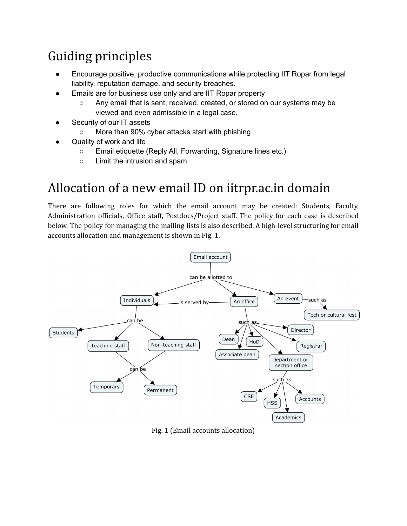## <span id="page-2-0"></span>Guiding principles

- Encourage positive, productive communications while protecting IIT Ropar from legal liability, reputation damage, and security breaches.
- Emails are for business use only and are IIT Ropar property
	- Any email that is sent, received, created, or stored on our systems may be viewed and even admissible in a legal case.
- Security of our IT assets
	- More than 90% cyber attacks start with phishing
- Quality of work and life
	- Email etiquette (Reply All, Forwarding, Signature lines etc.)
	- Limit the intrusion and spam

## <span id="page-2-1"></span>Allocation of a new email ID on iitrpr.ac.in domain

There are following roles for which the email account may be created: Students, Faculty, Administration officials, Office staff, Postdocs/Project staff. The policy for each case is described below. The policy for managing the mailing lists is also described. A high-level structuring for email accounts allocation and management is shown in Fig. 1.



Fig. 1 (Email accounts allocation)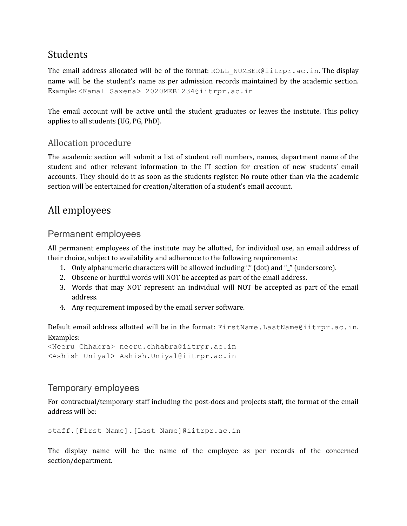## <span id="page-3-0"></span>Students

The email address allocated will be of the format: ROLL\_NUMBER@iitrpr.ac.in. The display name will be the student's name as per admission records maintained by the academic section. Example: <Kamal Saxena> 2020MEB1234@iitrpr.ac.in

The email account will be active until the student graduates or leaves the institute. This policy applies to all students (UG, PG, PhD).

## <span id="page-3-1"></span>Allocation procedure

The academic section will submit a list of student roll numbers, names, department name of the student and other relevant information to the IT section for creation of new students' email accounts. They should do it as soon as the students register. No route other than via the academic section will be entertained for creation/alteration of a student's email account.

## <span id="page-3-2"></span>All employees

## <span id="page-3-3"></span>Permanent employees

All permanent employees of the institute may be allotted, for individual use, an email address of their choice, subject to availability and adherence to the following requirements:

- 1. Only alphanumeric characters will be allowed including "." (dot) and "\_" (underscore).
- 2. Obscene or hurtful words will NOT be accepted as part of the email address.
- 3. Words that may NOT represent an individual will NOT be accepted as part of the email address.
- 4. Any requirement imposed by the email server software.

Default email address allotted will be in the format: FirstName.LastName@iitrpr.ac.in. Examples:

```
<Neeru Chhabra> neeru.chhabra@iitrpr.ac.in
<Ashish Uniyal> Ashish.Uniyal@iitrpr.ac.in
```
## <span id="page-3-4"></span>Temporary employees

For contractual/temporary staff including the post-docs and projects staff, the format of the email address will be:

```
staff.[First Name].[Last Name]@iitrpr.ac.in
```
The display name will be the name of the employee as per records of the concerned section/department.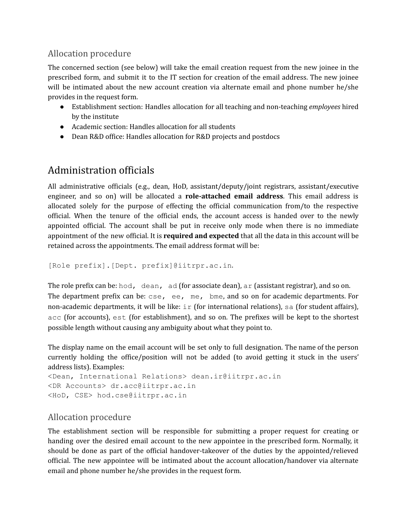## <span id="page-4-0"></span>Allocation procedure

The concerned section (see below) will take the email creation request from the new joinee in the prescribed form, and submit it to the IT section for creation of the email address. The new joinee will be intimated about the new account creation via alternate email and phone number he/she provides in the request form.

- Establishment section: Handles allocation for all teaching and non-teaching *employees* hired by the institute
- Academic section: Handles allocation for all students
- Dean R&D office: Handles allocation for R&D projects and postdocs

## <span id="page-4-1"></span>Administration officials

All administrative officials (e.g., dean, HoD, assistant/deputy/joint registrars, assistant/executive engineer, and so on) will be allocated a **role-attached email address**. This email address is allocated solely for the purpose of effecting the official communication from/to the respective official. When the tenure of the official ends, the account access is handed over to the newly appointed official. The account shall be put in receive only mode when there is no immediate appointment of the new official. It is **required and expected** that all the data in this account will be retained across the appointments. The email address format will be:

```
[Role prefix].[Dept. prefix]@iitrpr.ac.in.
```
The role prefix can be: hod, dean, ad (for associate dean), ar (assistant registrar), and so on. The department prefix can be: cse, ee, me, bme, and so on for academic departments. For non-academic departments, it will be like:  $i \in \{$  (for international relations), sa (for student affairs), acc (for accounts), est (for establishment), and so on. The prefixes will be kept to the shortest possible length without causing any ambiguity about what they point to.

The display name on the email account will be set only to full designation. The name of the person currently holding the office/position will not be added (to avoid getting it stuck in the users' address lists). Examples:

```
<Dean, International Relations> dean.ir@iitrpr.ac.in
<DR Accounts> dr.acc@iitrpr.ac.in
<HoD, CSE> hod.cse@iitrpr.ac.in
```
## <span id="page-4-2"></span>Allocation procedure

The establishment section will be responsible for submitting a proper request for creating or handing over the desired email account to the new appointee in the prescribed form. Normally, it should be done as part of the official handover-takeover of the duties by the appointed/relieved official. The new appointee will be intimated about the account allocation/handover via alternate email and phone number he/she provides in the request form.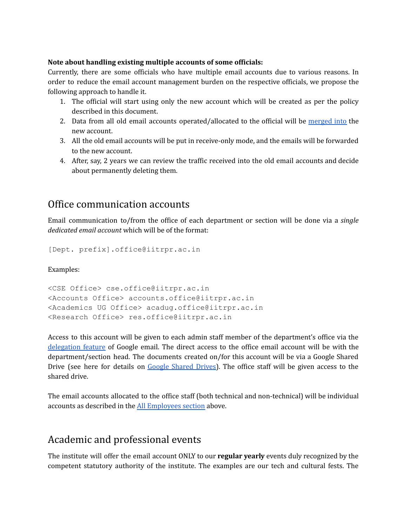#### **Note about handling existing multiple accounts of some officials:**

Currently, there are some officials who have multiple email accounts due to various reasons. In order to reduce the email account management burden on the respective officials, we propose the following approach to handle it.

- 1. The official will start using only the new account which will be created as per the policy described in this document.
- 2. Data from all old email accounts operated/allocated to the official will be [merged](https://support.google.com/a/answer/1041297?hl=en) into the new account.
- 3. All the old email accounts will be put in receive-only mode, and the emails will be forwarded to the new account.
- 4. After, say, 2 years we can review the traffic received into the old email accounts and decide about permanently deleting them.

## <span id="page-5-0"></span>Office communication accounts

Email communication to/from the office of each department or section will be done via a *single dedicated email account* which will be of the format:

[Dept. prefix].office@iitrpr.ac.in

Examples:

```
<CSE Office> cse.office@iitrpr.ac.in
<Accounts Office> accounts.office@iitrpr.ac.in
<Academics UG Office> acadug.office@iitrpr.ac.in
<Research Office> res.office@iitrpr.ac.in
```
Access to this account will be given to each admin staff member of the department's office via the [delegation](https://support.google.com/mail/answer/138350?hl=en) feature of Google email. The direct access to the office email account will be with the department/section head. The documents created on/for this account will be via a Google Shared Drive (see here for details on Google [Shared](https://support.google.com/a/topic/7337266?hl=en&ref_topic=2490075) Drives). The office staff will be given access to the shared drive.

The email accounts allocated to the office staff (both technical and non-technical) will be individual accounts as described in the All [Employees](#page-3-2) section above.

## <span id="page-5-1"></span>Academic and professional events

The institute will offer the email account ONLY to our **regular yearly** events duly recognized by the competent statutory authority of the institute. The examples are our tech and cultural fests. The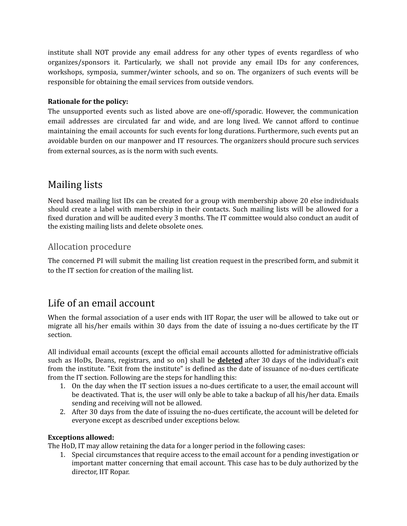institute shall NOT provide any email address for any other types of events regardless of who organizes/sponsors it. Particularly, we shall not provide any email IDs for any conferences, workshops, symposia, summer/winter schools, and so on. The organizers of such events will be responsible for obtaining the email services from outside vendors.

#### **Rationale for the policy:**

The unsupported events such as listed above are one-off/sporadic. However, the communication email addresses are circulated far and wide, and are long lived. We cannot afford to continue maintaining the email accounts for such events for long durations. Furthermore, such events put an avoidable burden on our manpower and IT resources. The organizers should procure such services from external sources, as is the norm with such events.

## <span id="page-6-0"></span>Mailing lists

Need based mailing list IDs can be created for a group with membership above 20 else individuals should create a label with membership in their contacts. Such mailing lists will be allowed for a fixed duration and will be audited every 3 months. The IT committee would also conduct an audit of the existing mailing lists and delete obsolete ones.

## <span id="page-6-1"></span>Allocation procedure

The concerned PI will submit the mailing list creation request in the prescribed form, and submit it to the IT section for creation of the mailing list.

## <span id="page-6-2"></span>Life of an email account

When the formal association of a user ends with IIT Ropar, the user will be allowed to take out or migrate all his/her emails within 30 days from the date of issuing a no-dues certificate by the IT section.

All individual email accounts (except the official email accounts allotted for administrative officials such as HoDs, Deans, registrars, and so on) shall be **deleted** after 30 days of the individual's exit from the institute. "Exit from the institute" is defined as the date of issuance of no-dues certificate from the IT section. Following are the steps for handling this:

- 1. On the day when the IT section issues a no-dues certificate to a user, the email account will be deactivated. That is, the user will only be able to take a backup of all his/her data. Emails sending and receiving will not be allowed.
- 2. After 30 days from the date of issuing the no-dues certificate, the account will be deleted for everyone except as described under exceptions below.

#### **Exceptions allowed:**

The HoD, IT may allow retaining the data for a longer period in the following cases:

1. Special circumstances that require access to the email account for a pending investigation or important matter concerning that email account. This case has to be duly authorized by the director, IIT Ropar.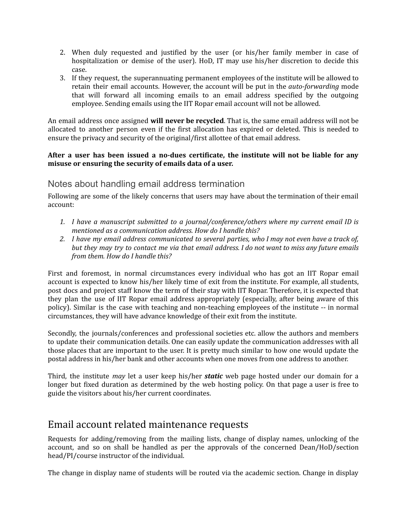- 2. When duly requested and justified by the user (or his/her family member in case of hospitalization or demise of the user). HoD, IT may use his/her discretion to decide this case.
- 3. If they request, the superannuating permanent employees of the institute will be allowed to retain their email accounts. However, the account will be put in the *auto-forwarding* mode that will forward all incoming emails to an email address specified by the outgoing employee. Sending emails using the IIT Ropar email account will not be allowed.

An email address once assigned **will never be recycled**. That is, the same email address will not be allocated to another person even if the first allocation has expired or deleted. This is needed to ensure the privacy and security of the original/first allottee of that email address.

#### **After a user has been issued a no-dues certificate, the institute will not be liable for any misuse or ensuring the security of emails data of a user.**

### <span id="page-7-0"></span>Notes about handling email address termination

Following are some of the likely concerns that users may have about the termination of their email account:

- *1. I have a manuscript submitted to a journal/conference/others where my current email ID is mentioned as a communication address. How do I handle this?*
- 2. I have my email address communicated to several parties, who I may not even have a track of, but they may try to contact me via that email address. I do not want to miss any future emails *from them. How do I handle this?*

First and foremost, in normal circumstances every individual who has got an IIT Ropar email account is expected to know his/her likely time of exit from the institute. For example, all students, post docs and project staff know the term of their stay with IIT Ropar. Therefore, it is expected that they plan the use of IIT Ropar email address appropriately (especially, after being aware of this policy). Similar is the case with teaching and non-teaching employees of the institute -- in normal circumstances, they will have advance knowledge of their exit from the institute.

Secondly, the journals/conferences and professional societies etc. allow the authors and members to update their communication details. One can easily update the communication addresses with all those places that are important to the user. It is pretty much similar to how one would update the postal address in his/her bank and other accounts when one moves from one address to another.

Third, the institute *may* let a user keep his/her *static* web page hosted under our domain for a longer but fixed duration as determined by the web hosting policy. On that page a user is free to guide the visitors about his/her current coordinates.

## <span id="page-7-1"></span>Email account related maintenance requests

Requests for adding/removing from the mailing lists, change of display names, unlocking of the account, and so on shall be handled as per the approvals of the concerned Dean/HoD/section head/PI/course instructor of the individual.

The change in display name of students will be routed via the academic section. Change in display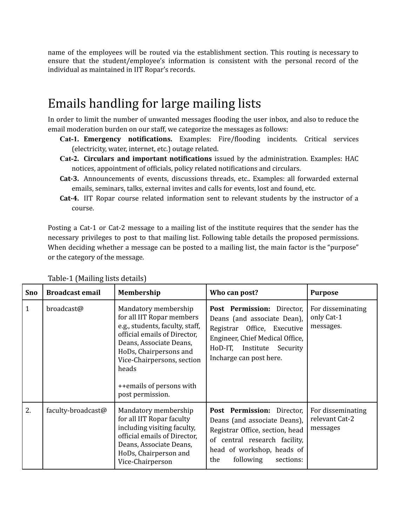name of the employees will be routed via the establishment section. This routing is necessary to ensure that the student/employee's information is consistent with the personal record of the individual as maintained in IIT Ropar's records.

## <span id="page-8-0"></span>Emails handling for large mailing lists

In order to limit the number of unwanted messages flooding the user inbox, and also to reduce the email moderation burden on our staff, we categorize the messages as follows:

- **Cat-1. Emergency notifications.** Examples: Fire/flooding incidents. Critical services (electricity, water, internet, etc.) outage related.
- **Cat-2. Circulars and important notifications** issued by the administration. Examples: HAC notices, appointment of officials, policy related notifications and circulars.
- **Cat-3.** Announcements of events, discussions threads, etc.. Examples: all forwarded external emails, seminars, talks, external invites and calls for events, lost and found, etc.
- **Cat-4.** IIT Ropar course related information sent to relevant students by the instructor of a course.

Posting a Cat-1 or Cat-2 message to a mailing list of the institute requires that the sender has the necessary privileges to post to that mailing list. Following table details the proposed permissions. When deciding whether a message can be posted to a mailing list, the main factor is the "purpose" or the category of the message.

| <b>Sno</b>   | <b>Broadcast email</b> | Membership                                                                                                                                                                                                                                                       | Who can post?                                                                                                                                                                                 | <b>Purpose</b>                                  |
|--------------|------------------------|------------------------------------------------------------------------------------------------------------------------------------------------------------------------------------------------------------------------------------------------------------------|-----------------------------------------------------------------------------------------------------------------------------------------------------------------------------------------------|-------------------------------------------------|
| $\mathbf{1}$ | broadcast@             | Mandatory membership<br>for all IIT Ropar members<br>e.g., students, faculty, staff,<br>official emails of Director,<br>Deans, Associate Deans,<br>HoDs, Chairpersons and<br>Vice-Chairpersons, section<br>heads<br>++emails of persons with<br>post permission. | Post Permission: Director,<br>Deans (and associate Dean),<br>Registrar Office, Executive<br>Engineer, Chief Medical Office,<br>HoD-IT, Institute Security<br>Incharge can post here.          | For disseminating<br>only Cat-1<br>messages.    |
| 2.           | faculty-broadcast@     | Mandatory membership<br>for all IIT Ropar faculty<br>including visiting faculty,<br>official emails of Director,<br>Deans, Associate Deans,<br>HoDs, Chairperson and<br>Vice-Chairperson                                                                         | Post Permission: Director,<br>Deans (and associate Deans),<br>Registrar Office, section, head<br>of central research facility,<br>head of workshop, heads of<br>following<br>sections:<br>the | For disseminating<br>relevant Cat-2<br>messages |

<span id="page-8-1"></span>Table-1 (Mailing lists details)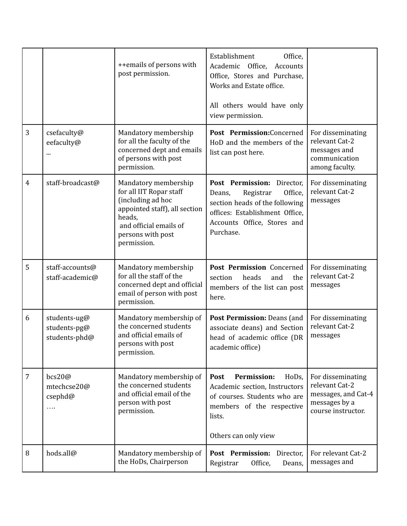|                |                                                    | ++emails of persons with<br>post permission.                                                                                                                                  | Establishment<br>Office,<br>Academic Office,<br>Accounts<br>Office, Stores and Purchase,<br>Works and Estate office.<br>All others would have only<br>view permission.       |                                                                                                   |
|----------------|----------------------------------------------------|-------------------------------------------------------------------------------------------------------------------------------------------------------------------------------|------------------------------------------------------------------------------------------------------------------------------------------------------------------------------|---------------------------------------------------------------------------------------------------|
| 3              | csefaculty@<br>eefaculty@                          | Mandatory membership<br>for all the faculty of the<br>concerned dept and emails<br>of persons with post<br>permission.                                                        | Post Permission:Concerned<br>HoD and the members of the<br>list can post here.                                                                                               | For disseminating<br>relevant Cat-2<br>messages and<br>communication<br>among faculty.            |
| $\overline{4}$ | staff-broadcast@                                   | Mandatory membership<br>for all IIT Ropar staff<br>(including ad hoc<br>appointed staff), all section<br>heads,<br>and official emails of<br>persons with post<br>permission. | Post Permission: Director,<br>Office,<br>Registrar<br>Deans,<br>section heads of the following<br>offices: Establishment Office,<br>Accounts Office, Stores and<br>Purchase. | For disseminating<br>relevant Cat-2<br>messages                                                   |
| 5              | staff-accounts@<br>staff-academic@                 | Mandatory membership<br>for all the staff of the<br>concerned dept and official<br>email of person with post<br>permission.                                                   | Post Permission Concerned<br>heads<br>section<br>and<br>the<br>members of the list can post<br>here.                                                                         | For disseminating<br>relevant Cat-2<br>messages                                                   |
| 6              | students-ug@<br>students-pg@<br>students-phd@      | Mandatory membership of<br>the concerned students<br>and official emails of<br>persons with post<br>permission.                                                               | Post Permission: Deans (and<br>associate deans) and Section<br>head of academic office (DR<br>academic office)                                                               | For disseminating<br>relevant Cat-2<br>messages                                                   |
| $\overline{7}$ | bcs20@<br>mtechcse20@<br>$c$ sephd $@$<br>$\cdots$ | Mandatory membership of<br>the concerned students<br>and official email of the<br>person with post<br>permission.                                                             | <b>Permission:</b><br>HoDs,<br>Post<br>Academic section, Instructors<br>of courses. Students who are<br>members of the respective<br>lists.<br>Others can only view          | For disseminating<br>relevant Cat-2<br>messages, and Cat-4<br>messages by a<br>course instructor. |
| 8              | hods.all@                                          | Mandatory membership of<br>the HoDs, Chairperson                                                                                                                              | Post Permission:<br>Director,<br>Office,<br>Registrar<br>Deans,                                                                                                              | For relevant Cat-2<br>messages and                                                                |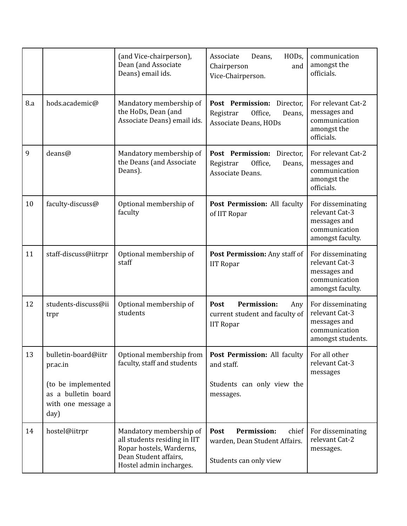|     |                                                                                                            | (and Vice-chairperson),<br>Dean (and Associate<br>Deans) email ids.                                                                     | HODs,<br>Associate<br>Deans,<br>Chairperson<br>and<br>Vice-Chairperson.                         | communication<br>amongst the<br>officials.                                                |
|-----|------------------------------------------------------------------------------------------------------------|-----------------------------------------------------------------------------------------------------------------------------------------|-------------------------------------------------------------------------------------------------|-------------------------------------------------------------------------------------------|
| 8.a | hods.academic@                                                                                             | Mandatory membership of<br>the HoDs, Dean (and<br>Associate Deans) email ids.                                                           | Post Permission:<br>Director,<br>Office,<br>Registrar<br>Deans,<br><b>Associate Deans, HODs</b> | For relevant Cat-2<br>messages and<br>communication<br>amongst the<br>officials.          |
| 9   | deans@                                                                                                     | Mandatory membership of<br>the Deans (and Associate<br>Deans).                                                                          | Post Permission:<br>Director,<br>Office,<br>Registrar<br>Deans,<br>Associate Deans.             | For relevant Cat-2<br>messages and<br>communication<br>amongst the<br>officials.          |
| 10  | faculty-discuss@                                                                                           | Optional membership of<br>faculty                                                                                                       | Post Permission: All faculty<br>of IIT Ropar                                                    | For disseminating<br>relevant Cat-3<br>messages and<br>communication<br>amongst faculty.  |
| 11  | staff-discuss@iitrpr                                                                                       | Optional membership of<br>staff                                                                                                         | Post Permission: Any staff of<br><b>IIT Ropar</b>                                               | For disseminating<br>relevant Cat-3<br>messages and<br>communication<br>amongst faculty.  |
| 12  | students-discuss@ii<br>trpr                                                                                | Optional membership of<br>students                                                                                                      | <b>Permission:</b><br>Post<br>Any<br>current student and faculty of<br><b>IIT Ropar</b>         | For disseminating<br>relevant Cat-3<br>messages and<br>communication<br>amongst students. |
| 13  | bulletin-board@iitr<br>pr.ac.in<br>(to be implemented<br>as a bulletin board<br>with one message a<br>day) | Optional membership from<br>faculty, staff and students                                                                                 | Post Permission: All faculty<br>and staff.<br>Students can only view the<br>messages.           | For all other<br>relevant Cat-3<br>messages                                               |
| 14  | hostel@iitrpr                                                                                              | Mandatory membership of<br>all students residing in IIT<br>Ropar hostels, Warderns,<br>Dean Student affairs,<br>Hostel admin incharges. | <b>Permission:</b><br>Post<br>chief<br>warden, Dean Student Affairs.<br>Students can only view  | For disseminating<br>relevant Cat-2<br>messages.                                          |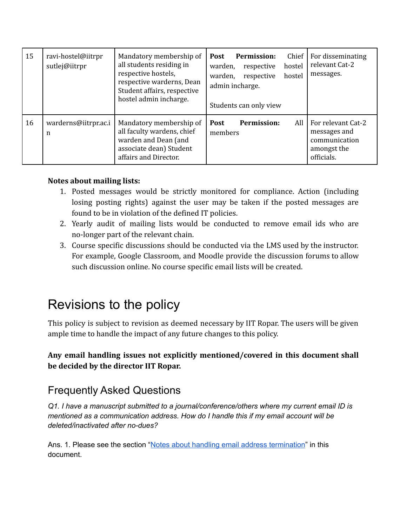| 15 | ravi-hostel@iitrpr<br>sutlej@iitrpr | Mandatory membership of<br>all students residing in<br>respective hostels,<br>respective warderns, Dean<br>Student affairs, respective<br>hostel admin incharge. | <b>Permission:</b><br>Chief<br><b>Post</b><br>hostel<br>warden,<br>respective<br>respective<br>hostel<br>warden,<br>admin incharge.<br>Students can only view | For disseminating<br>relevant Cat-2<br>messages.                                 |
|----|-------------------------------------|------------------------------------------------------------------------------------------------------------------------------------------------------------------|---------------------------------------------------------------------------------------------------------------------------------------------------------------|----------------------------------------------------------------------------------|
| 16 | warderns@iitrpr.ac.i<br>n           | Mandatory membership of<br>all faculty wardens, chief<br>warden and Dean (and<br>associate dean) Student<br>affairs and Director.                                | All<br><b>Permission:</b><br><b>Post</b><br>members                                                                                                           | For relevant Cat-2<br>messages and<br>communication<br>amongst the<br>officials. |

#### **Notes about mailing lists:**

- 1. Posted messages would be strictly monitored for compliance. Action (including losing posting rights) against the user may be taken if the posted messages are found to be in violation of the defined IT policies.
- 2. Yearly audit of mailing lists would be conducted to remove email ids who are no-longer part of the relevant chain.
- 3. Course specific discussions should be conducted via the LMS used by the instructor. For example, Google Classroom, and Moodle provide the discussion forums to allow such discussion online. No course specific email lists will be created.

## <span id="page-11-0"></span>Revisions to the policy

This policy is subject to revision as deemed necessary by IIT Ropar. The users will be given ample time to handle the impact of any future changes to this policy.

### **Any email handling issues not explicitly mentioned/covered in this document shall be decided by the director IIT Ropar.**

## <span id="page-11-1"></span>Frequently Asked Questions

*Q1. I have a manuscript submitted to a journal/conference/others where my current email ID is mentioned as a communication address. How do I handle this if my email account will be deleted/inactivated after no-dues?*

Ans. 1. Please see the section "Notes about handling email address [termination](#page-7-0)" in this document.